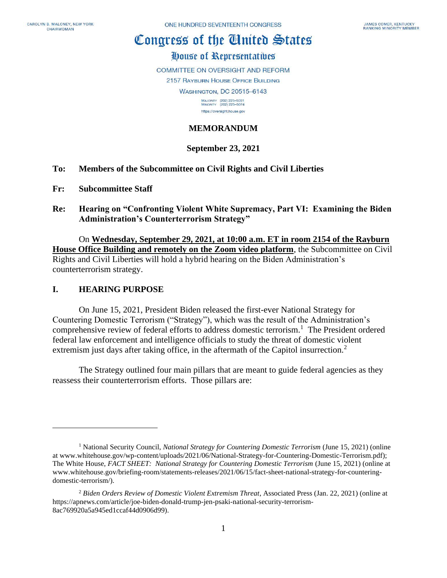# Congress of the Ginited States

# House of Representatives

**COMMITTEE ON OVERSIGHT AND REFORM** 

2157 RAYBURN HOUSE OFFICE BUILDING

**WASHINGTON, DC 20515-6143** 

MAJORITY (202) 225-5051<br>MINORITY (202) 225-5074 https://oversight.house.gov

## **MEMORANDUM**

## **September 23, 2021**

- **To: Members of the Subcommittee on Civil Rights and Civil Liberties**
- **Fr: Subcommittee Staff**
- **Re: Hearing on "Confronting Violent White Supremacy, Part VI: Examining the Biden Administration's Counterterrorism Strategy"**

On **Wednesday, September 29, 2021, at 10:00 a.m. ET in room 2154 of the Rayburn House Office Building and remotely on the Zoom video platform**, the Subcommittee on Civil Rights and Civil Liberties will hold a hybrid hearing on the Biden Administration's counterterrorism strategy.

#### **I. HEARING PURPOSE**

On June 15, 2021, President Biden released the first-ever National Strategy for Countering Domestic Terrorism ("Strategy"), which was the result of the Administration's comprehensive review of federal efforts to address domestic terrorism.<sup>1</sup> The President ordered federal law enforcement and intelligence officials to study the threat of domestic violent extremism just days after taking office, in the aftermath of the Capitol insurrection.<sup>2</sup>

The Strategy outlined four main pillars that are meant to guide federal agencies as they reassess their counterterrorism efforts. Those pillars are:

<sup>1</sup> National Security Council, *National Strategy for Countering Domestic Terrorism* (June 15, 2021) (online at www.whitehouse.gov/wp-content/uploads/2021/06/National-Strategy-for-Countering-Domestic-Terrorism.pdf); The White House, *FACT SHEET: National Strategy for Countering Domestic Terrorism* (June 15, 2021) (online at www.whitehouse.gov/briefing-room/statements-releases/2021/06/15/fact-sheet-national-strategy-for-counteringdomestic-terrorism/).

<sup>2</sup> *Biden Orders Review of Domestic Violent Extremism Threat*, Associated Press (Jan. 22, 2021) (online at https://apnews.com/article/joe-biden-donald-trump-jen-psaki-national-security-terrorism-8ac769920a5a945ed1ccaf44d0906d99).